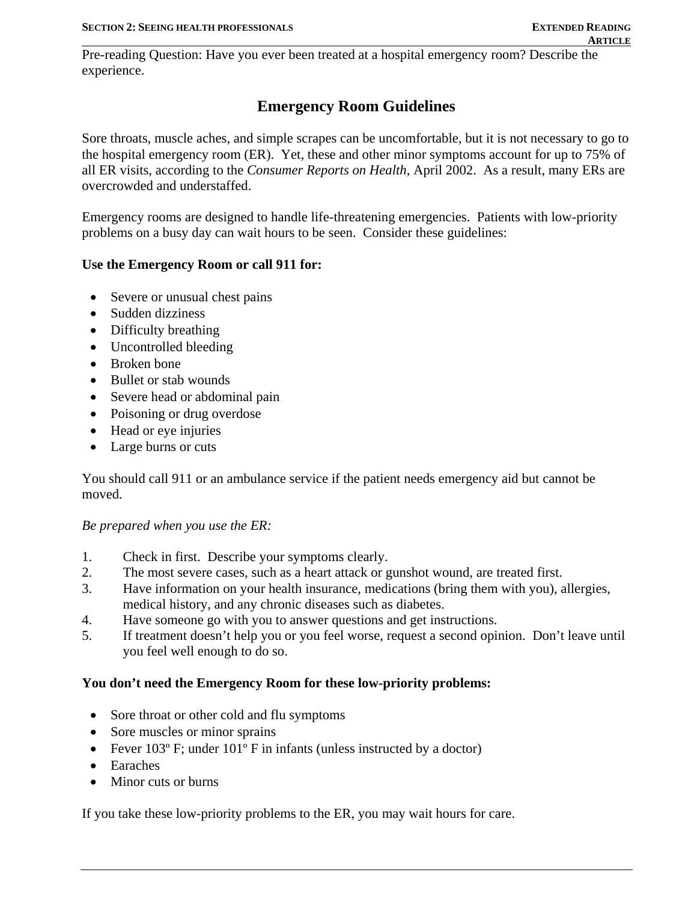Pre-reading Question: Have you ever been treated at a hospital emergency room? Describe the experience.

# **Emergency Room Guidelines**

Sore throats, muscle aches, and simple scrapes can be uncomfortable, but it is not necessary to go to the hospital emergency room (ER). Yet, these and other minor symptoms account for up to 75% of all ER visits, according to the *Consumer Reports on Health*, April 2002. As a result, many ERs are overcrowded and understaffed.

Emergency rooms are designed to handle life-threatening emergencies. Patients with low-priority problems on a busy day can wait hours to be seen. Consider these guidelines:

### **Use the Emergency Room or call 911 for:**

- Severe or unusual chest pains
- Sudden dizziness
- Difficulty breathing
- Uncontrolled bleeding
- Broken bone
- Bullet or stab wounds
- Severe head or abdominal pain
- Poisoning or drug overdose
- Head or eye injuries
- Large burns or cuts

You should call 911 or an ambulance service if the patient needs emergency aid but cannot be moved.

#### *Be prepared when you use the ER:*

- 1. Check in first. Describe your symptoms clearly.
- 2. The most severe cases, such as a heart attack or gunshot wound, are treated first.
- 3. Have information on your health insurance, medications (bring them with you), allergies, medical history, and any chronic diseases such as diabetes.
- 4. Have someone go with you to answer questions and get instructions.
- 5. If treatment doesn't help you or you feel worse, request a second opinion. Don't leave until you feel well enough to do so.

#### **You don't need the Emergency Room for these low-priority problems:**

- Sore throat or other cold and flu symptoms
- Sore muscles or minor sprains
- Fever  $103^{\circ}$  F; under  $101^{\circ}$  F in infants (unless instructed by a doctor)
- Earaches
- Minor cuts or burns

If you take these low-priority problems to the ER, you may wait hours for care.